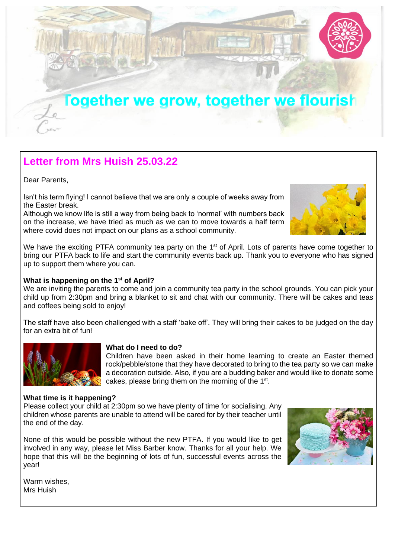

## **Letter from Mrs Huish 25.03.22**

Dear Parents,

Isn't his term flying! I cannot believe that we are only a couple of weeks away from the Easter break.

Although we know life is still a way from being back to 'normal' with numbers back on the increase, we have tried as much as we can to move towards a half term where covid does not impact on our plans as a school community.

We have the exciting PTFA community tea party on the  $1<sup>st</sup>$  of April. Lots of parents have come together to bring our PTFA back to life and start the community events back up. Thank you to everyone who has signed up to support them where you can.

### **What is happening on the 1st of April?**

We are inviting the parents to come and join a community tea party in the school grounds. You can pick your child up from 2:30pm and bring a blanket to sit and chat with our community. There will be cakes and teas and coffees being sold to enjoy!

The staff have also been challenged with a staff 'bake off'. They will bring their cakes to be judged on the day for an extra bit of fun!



#### **What do I need to do?**

Children have been asked in their home learning to create an Easter themed rock/pebble/stone that they have decorated to bring to the tea party so we can make a decoration outside. Also, if you are a budding baker and would like to donate some cakes, please bring them on the morning of the 1<sup>st</sup>.

#### **[What time](https://torange.biz/easter-pictures-29773) is it happening?**

[Please c](https://creativecommons.org/licenses/by/3.0/)ollect your child at 2:30pm so we have plenty of time for socialising. Any children whose parents are unable to attend will be cared for by their teacher until the end of the day.

None of this would be possible without the new PTFA. If you would like to get involved in any way, please let Miss Barber know. Thanks for all your help. We hope that this will be the beginning of lots of fun, successful events across the year!



Warm wishes, Mrs Huish

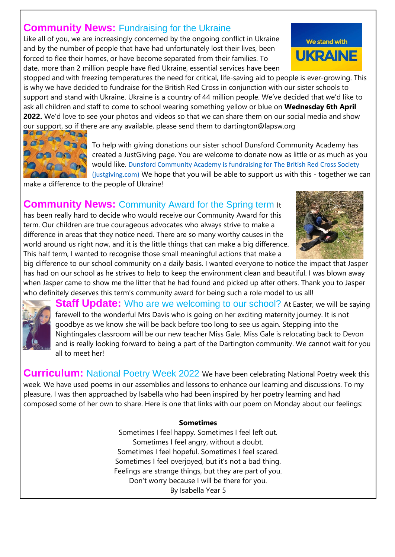## **Community News: Fundraising for the Ukraine**

Like all of you, we are increasingly concerned by the ongoing conflict in Ukraine and by the number of people that have had unfortunately lost their lives, been forced to flee their homes, or have become separated from their families. To date, more than 2 million people have fled Ukraine, essential services have been

stopped and with freezing temperatures the need for critical, life-saving aid to people is ever-growing. This is why we have decided to fundraise for the British Red Cross in conjunction with our sister schools to support and stand with Ukraine. Ukraine is a country of 44 million people. We've decided that we'd like to ask all children and staff to come to school wearing something yellow or blue on **Wednesday 6th April 2022.** We'd love to see your photos and videos so that we can share them on our social media and show our support, so if there are any available, please send them to dartington@lapsw.org



To help with giving donations our sister school Dunsford Community Academy has created a JustGiving page. You are welcome to donate now as little or as much as you would like. [Dunsford Community Academy is fundraising for The British Red Cross Society](https://www.justgiving.com/fundraising/dunsford-community-academy?newPage=True)  [\(justgiving.com\)](https://www.justgiving.com/fundraising/dunsford-community-academy?newPage=True) We hope that you will be able to support us with this - together we can

make a difference to the people of Ukraine!

### **Community News:** Community Award for the Spring term It

has been really hard to decide who would receive our Community Award for this term. Our children are true courageous advocates who always strive to make a difference in areas that they notice need. There are so many worthy causes in the world around us right now, and it is the little things that can make a big difference. This half term, I wanted to recognise those small meaningful actions that make a



big difference to our school community on a daily basis. I wanted everyone to notice the impact that Jasper has had on our school as he strives to help to keep the environment clean and beautiful. I was blown away when Jasper came to show me the litter that he had found and picked up after others. Thank you to Jasper who definitely deserves this term's community award for being such a role model to us all!



**Staff Update:** Who are we welcoming to our school? At Easter, we will be saying farewell to the wonderful Mrs Davis who is going on her exciting maternity journey. It is not goodbye as we know she will be back before too long to see us again. Stepping into the Nightingales classroom will be our new teacher Miss Gale. Miss Gale is relocating back to Devon and is really looking forward to being a part of the Dartington community. We cannot wait for you all to meet her!

**Curriculum:** National Poetry Week 2022 We have been celebrating National Poetry week this week. We have used poems in our assemblies and lessons to enhance our learning and discussions. To my pleasure, I was then approached by Isabella who had been inspired by her poetry learning and had composed some of her own to share. Here is one that links with our poem on Monday about our feelings:

### **Sometimes**

Sometimes I feel happy. Sometimes I feel left out. Sometimes I feel angry, without a doubt. Sometimes I feel hopeful. Sometimes I feel scared. Sometimes I feel overjoyed, but it's not a bad thing. Feelings are strange things, but they are part of you. Don't worry because I will be there for you. By Isabella Year 5